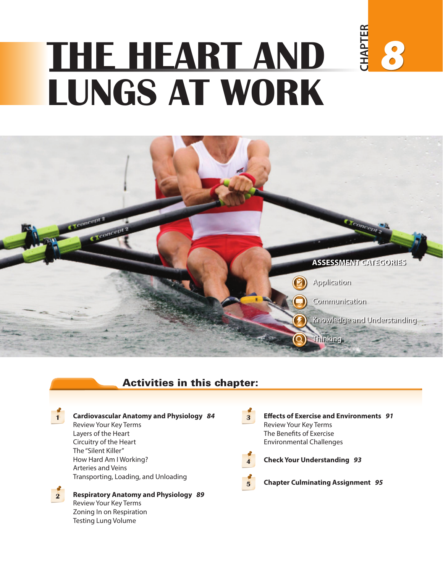# **CHAPTER CHAPTER THE HEART AND** *8* **LUNGS AT WORK**



# Activities in this chapter:



#### **1 Cardiovascular Anatomy and Physiology** *84*

Review Your Key Terms Layers of the Heart Circuitry of the Heart The "Silent Killer" How Hard Am I Working? Arteries and Veins Transporting, Loading, and Unloading

**2 Respiratory Anatomy and Physiology** *89* Review Your Key Terms Zoning In on Respiration Testing Lung Volume

**3 Effects of Exercise and Environments** *91* Review Your Key Terms The Benefits of Exercise Environmental Challenges



**4 Check Your Understanding** *93*

**5 Chapter Culminating Assignment** *95*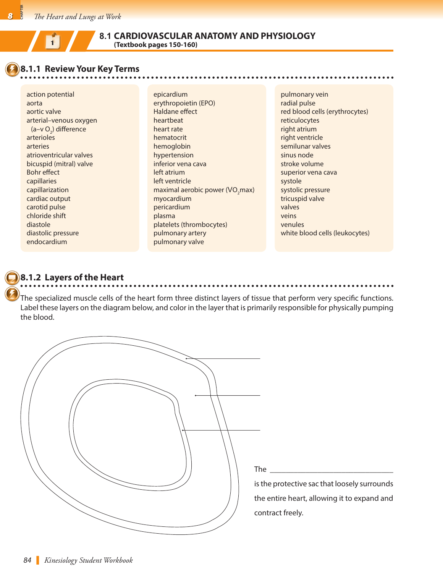# **8.1 CARDIOVASCULAR ANATOMY AND PHYSIOLOGY (Textbook pages 150-160) <sup>1</sup>**

#### **8.1.1 Review Your Key Terms**

action potential aorta aortic valve arterial–venous oxygen (a–v O<sub>2</sub>) difference arterioles arteries atrioventricular valves bicuspid (mitral) valve Bohr effect capillaries capillarization cardiac output carotid pulse chloride shift diastole diastolic pressure endocardium

epicardium erythropoietin (EPO) Haldane effect heartbeat heart rate hematocrit hemoglobin hypertension inferior vena cava left atrium left ventricle maximal aerobic power (VO<sub>2</sub>max) myocardium pericardium plasma platelets (thrombocytes) pulmonary artery pulmonary valve

pulmonary vein radial pulse red blood cells (erythrocytes) reticulocytes right atrium right ventricle semilunar valves sinus node stroke volume superior vena cava systole systolic pressure tricuspid valve valves veins venules white blood cells (leukocytes)

### **8.1.2 Layers of the Heart**

The specialized muscle cells of the heart form three distinct layers of tissue that perform very specific functions. Label these layers on the diagram below, and color in the layer that is primarily responsible for physically pumping the blood.

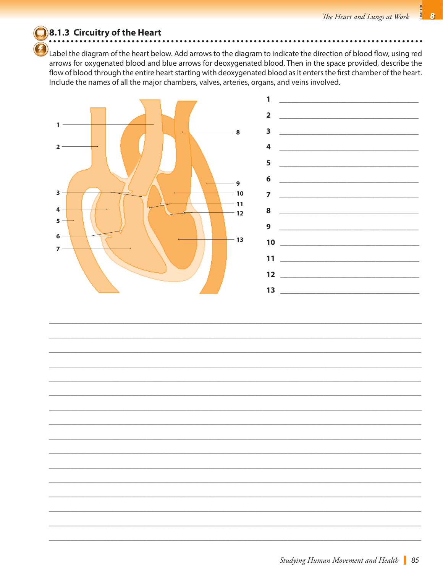#### 8.1.3 Circuitry of the Heart

Label the diagram of the heart below. Add arrows to the diagram to indicate the direction of blood flow, using red arrows for oxygenated blood and blue arrows for deoxygenated blood. Then in the space provided, describe the flow of blood through the entire heart starting with deoxygenated blood as it enters the first chamber of the heart. Include the names of all the major chambers, valves, arteries, organs, and veins involved.

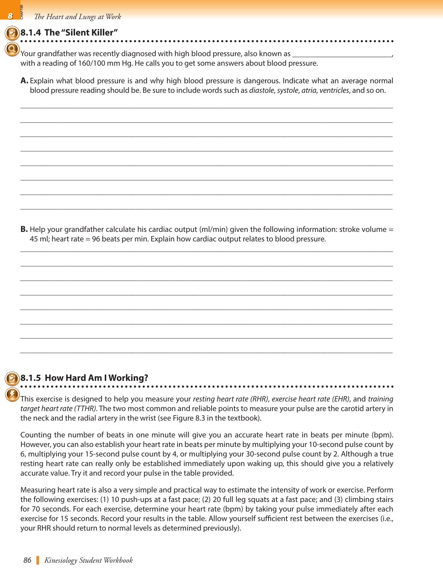#### **8.1.4 The "Silent Killer"**

Your grandfather was recently diagnosed with high blood pressure, also known as  $\_$ with a reading of 160/100 mm Hg. He calls you to get some answers about blood pressure.

**A.** Explain what blood pressure is and why high blood pressure is dangerous. Indicate what an average normal blood pressure reading should be. Be sure to include words such as *diastole*, *systole*, *atria*, *ventricles*, and so on.

\_\_\_\_\_\_\_\_\_\_\_\_\_\_\_\_\_\_\_\_\_\_\_\_\_\_\_\_\_\_\_\_\_\_\_\_\_\_\_\_\_\_\_\_\_\_\_\_\_\_\_\_\_\_\_\_\_\_\_\_\_\_\_\_\_\_\_\_\_\_\_\_\_\_\_\_\_\_\_\_\_\_\_\_\_\_\_\_\_\_\_\_\_\_\_\_\_\_\_\_\_\_\_ *\_\_\_\_\_\_\_\_\_\_\_\_\_\_\_\_\_\_\_\_\_\_\_\_\_\_\_\_\_\_\_\_\_\_\_\_\_\_\_\_\_\_\_\_\_\_\_\_\_\_\_\_\_\_\_\_\_\_\_\_\_\_\_\_\_\_\_\_\_\_\_\_\_\_\_\_\_\_\_\_\_\_\_\_\_\_\_\_\_\_\_\_\_\_\_\_\_\_\_\_\_\_\_*

*\_\_\_\_\_\_\_\_\_\_\_\_\_\_\_\_\_\_\_\_\_\_\_\_\_\_\_\_\_\_\_\_\_\_\_\_\_\_\_\_\_\_\_\_\_\_\_\_\_\_\_\_\_\_\_\_\_\_\_\_\_\_\_\_\_\_\_\_\_\_\_\_\_\_\_\_\_\_\_\_\_\_\_\_\_\_\_\_\_\_\_\_\_\_\_\_\_\_\_\_\_\_\_*

\_\_\_\_\_\_\_\_\_\_\_\_\_\_\_\_\_\_\_\_\_\_\_\_\_\_\_\_\_\_\_\_\_\_\_\_\_\_\_\_\_\_\_\_\_\_\_\_\_\_\_\_\_\_\_\_\_\_\_\_\_\_\_\_\_\_\_\_\_\_\_\_\_\_\_\_\_\_\_\_\_\_\_\_\_\_\_\_\_\_\_\_\_\_\_\_\_\_\_\_\_\_\_

\_\_\_\_\_\_\_\_\_\_\_\_\_\_\_\_\_\_\_\_\_\_\_\_\_\_\_\_\_\_\_\_\_\_\_\_\_\_\_\_\_\_\_\_\_\_\_\_\_\_\_\_\_\_\_\_\_\_\_\_\_\_\_\_\_\_\_\_\_\_\_\_\_\_\_\_\_\_\_\_\_\_\_\_\_\_\_\_\_\_\_\_\_\_\_\_\_\_\_\_\_\_\_

\_\_\_\_\_\_\_\_\_\_\_\_\_\_\_\_\_\_\_\_\_\_\_\_\_\_\_\_\_\_\_\_\_\_\_\_\_\_\_\_\_\_\_\_\_\_\_\_\_\_\_\_\_\_\_\_\_\_\_\_\_\_\_\_\_\_\_\_\_\_\_\_\_\_\_\_\_\_\_\_\_\_\_\_\_\_\_\_\_\_\_\_\_\_\_\_\_\_\_\_\_\_\_ *\_\_\_\_\_\_\_\_\_\_\_\_\_\_\_\_\_\_\_\_\_\_\_\_\_\_\_\_\_\_\_\_\_\_\_\_\_\_\_\_\_\_\_\_\_\_\_\_\_\_\_\_\_\_\_\_\_\_\_\_\_\_\_\_\_\_\_\_\_\_\_\_\_\_\_\_\_\_\_\_\_\_\_\_\_\_\_\_\_\_\_\_\_\_\_\_\_\_\_\_\_\_\_ \_\_\_\_\_\_\_\_\_\_\_\_\_\_\_\_\_\_\_\_\_\_\_\_\_\_\_\_\_\_\_\_\_\_\_\_\_\_\_\_\_\_\_\_\_\_\_\_\_\_\_\_\_\_\_\_\_\_\_\_\_\_\_\_\_\_\_\_\_\_\_\_\_\_\_\_\_\_\_\_\_\_\_\_\_\_\_\_\_\_\_\_\_\_\_\_\_\_\_\_\_\_\_*

**B.** Help your grandfather calculate his cardiac output (ml/min) given the following information: stroke volume = 45 ml; heart rate = 96 beats per min. Explain how cardiac output relates to blood pressure.

\_\_\_\_\_\_\_\_\_\_\_\_\_\_\_\_\_\_\_\_\_\_\_\_\_\_\_\_\_\_\_\_\_\_\_\_\_\_\_\_\_\_\_\_\_\_\_\_\_\_\_\_\_\_\_\_\_\_\_\_\_\_\_\_\_\_\_\_\_\_\_\_\_\_\_\_\_\_\_\_\_\_\_\_\_\_\_\_\_\_\_\_\_\_\_\_\_\_\_\_\_\_\_

\_\_\_\_\_\_\_\_\_\_\_\_\_\_\_\_\_\_\_\_\_\_\_\_\_\_\_\_\_\_\_\_\_\_\_\_\_\_\_\_\_\_\_\_\_\_\_\_\_\_\_\_\_\_\_\_\_\_\_\_\_\_\_\_\_\_\_\_\_\_\_\_\_\_\_\_\_\_\_\_\_\_\_\_\_\_\_\_\_\_\_\_\_\_\_\_\_\_\_\_\_\_\_ *\_\_\_\_\_\_\_\_\_\_\_\_\_\_\_\_\_\_\_\_\_\_\_\_\_\_\_\_\_\_\_\_\_\_\_\_\_\_\_\_\_\_\_\_\_\_\_\_\_\_\_\_\_\_\_\_\_\_\_\_\_\_\_\_\_\_\_\_\_\_\_\_\_\_\_\_\_\_\_\_\_\_\_\_\_\_\_\_\_\_\_\_\_\_\_\_\_\_\_\_\_\_\_*

*\_\_\_\_\_\_\_\_\_\_\_\_\_\_\_\_\_\_\_\_\_\_\_\_\_\_\_\_\_\_\_\_\_\_\_\_\_\_\_\_\_\_\_\_\_\_\_\_\_\_\_\_\_\_\_\_\_\_\_\_\_\_\_\_\_\_\_\_\_\_\_\_\_\_\_\_\_\_\_\_\_\_\_\_\_\_\_\_\_\_\_\_\_\_\_\_\_\_\_\_\_\_\_*

*\_\_\_\_\_\_\_\_\_\_\_\_\_\_\_\_\_\_\_\_\_\_\_\_\_\_\_\_\_\_\_\_\_\_\_\_\_\_\_\_\_\_\_\_\_\_\_\_\_\_\_\_\_\_\_\_\_\_\_\_\_\_\_\_\_\_\_\_\_\_\_\_\_\_\_\_\_\_\_\_\_\_\_\_\_\_\_\_\_\_\_\_\_\_\_\_\_\_\_\_\_\_\_*

*\_\_\_\_\_\_\_\_\_\_\_\_\_\_\_\_\_\_\_\_\_\_\_\_\_\_\_\_\_\_\_\_\_\_\_\_\_\_\_\_\_\_\_\_\_\_\_\_\_\_\_\_\_\_\_\_\_\_\_\_\_\_\_\_\_\_\_\_\_\_\_\_\_\_\_\_\_\_\_\_\_\_\_\_\_\_\_\_\_\_\_\_\_\_\_\_\_\_\_\_\_\_\_*

*\_\_\_\_\_\_\_\_\_\_\_\_\_\_\_\_\_\_\_\_\_\_\_\_\_\_\_\_\_\_\_\_\_\_\_\_\_\_\_\_\_\_\_\_\_\_\_\_\_\_\_\_\_\_\_\_\_\_\_\_\_\_\_\_\_\_\_\_\_\_\_\_\_\_\_\_\_\_\_\_\_\_\_\_\_\_\_\_\_\_\_\_\_\_\_\_\_\_\_\_\_\_\_*

*\_\_\_\_\_\_\_\_\_\_\_\_\_\_\_\_\_\_\_\_\_\_\_\_\_\_\_\_\_\_\_\_\_\_\_\_\_\_\_\_\_\_\_\_\_\_\_\_\_\_\_\_\_\_\_\_\_\_\_\_\_\_\_\_\_\_\_\_\_\_\_\_\_\_\_\_\_\_\_\_\_\_\_\_\_\_\_\_\_\_\_\_\_\_\_\_\_\_\_\_\_\_\_*

### **8.1.5 How Hard Am I Working?**

This exercise is designed to help you measure your *resting heart rate (RHR)*, *exercise heart rate (EHR)*, and *training target heart rate (TTHR)*. The two most common and reliable points to measure your pulse are the carotid artery in the neck and the radial artery in the wrist (see Figure 8.3 in the textbook).

Counting the number of beats in one minute will give you an accurate heart rate in beats per minute (bpm). However, you can also establish your heart rate in beats per minute by multiplying your 10-second pulse count by 6, multiplying your 15-second pulse count by 4, or multiplying your 30-second pulse count by 2. Although a true resting heart rate can really only be established immediately upon waking up, this should give you a relatively accurate value. Try it and record your pulse in the table provided.

Measuring heart rate is also a very simple and practical way to estimate the intensity of work or exercise. Perform the following exercises: (1) 10 push-ups at a fast pace; (2) 20 full leg squats at a fast pace; and (3) climbing stairs for 70 seconds. For each exercise, determine your heart rate (bpm) by taking your pulse immediately after each exercise for 15 seconds. Record your results in the table. Allow yourself sufficient rest between the exercises (i.e., your RHR should return to normal levels as determined previously).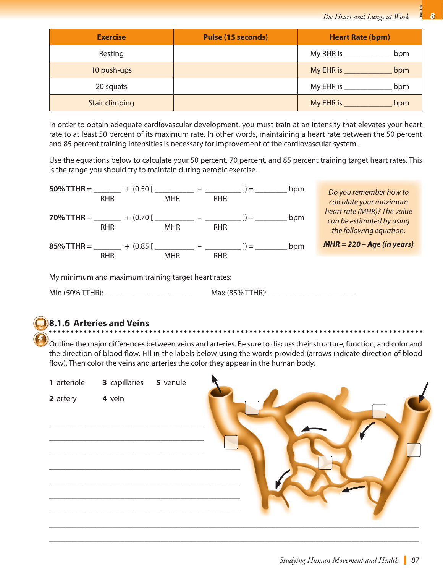| <b>Exercise</b>       | <b>Pulse (15 seconds)</b> | <b>Heart Rate (bpm)</b> |
|-----------------------|---------------------------|-------------------------|
| Resting               |                           | My RHR is ______<br>bpm |
| 10 push-ups           |                           | My EHR is<br>bpm        |
| 20 squats             |                           | My EHR is $\_$<br>bpm   |
| <b>Stair climbing</b> |                           | My EHR is $\_$<br>bpm   |

In order to obtain adequate cardiovascular development, you must train at an intensity that elevates your heart rate to at least 50 percent of its maximum rate. In other words, maintaining a heart rate between the 50 percent and 85 percent training intensities is necessary for improvement of the cardiovascular system.

Use the equations below to calculate your 50 percent, 70 percent, and 85 percent training target heart rates. This is the range you should try to maintain during aerobic exercise.



Min (50% TTHR): \_\_\_\_\_\_\_\_\_\_\_\_\_\_\_\_\_\_\_\_\_\_ Max (85% TTHR): \_\_\_\_\_\_\_\_\_\_\_\_\_\_\_\_\_\_\_\_\_\_

# **8.1.6 Arteries and Veins**

Outline the major differences between veins and arteries. Be sure to discuss their structure, function, and color and the direction of blood flow. Fill in the labels below using the words provided (arrows indicate direction of blood flow). Then color the veins and arteries the color they appear in the human body.